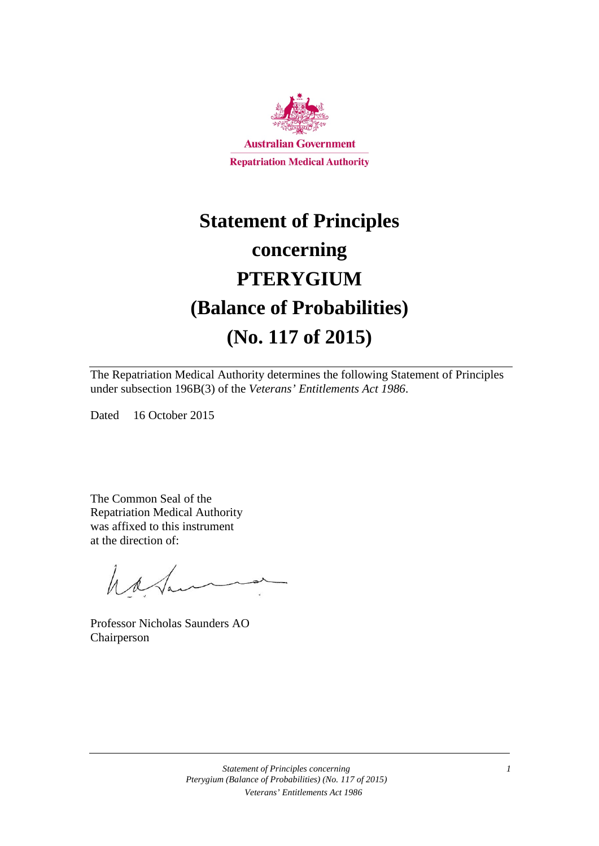

# **Statement of Principles concerning PTERYGIUM (Balance of Probabilities) (No. 117 of 2015)**

The Repatriation Medical Authority determines the following Statement of Principles under subsection 196B(3) of the *Veterans' Entitlements Act 1986*.

Dated 16 October 2015

The Common Seal of the Repatriation Medical Authority was affixed to this instrument at the direction of:

hatan

Professor Nicholas Saunders AO Chairperson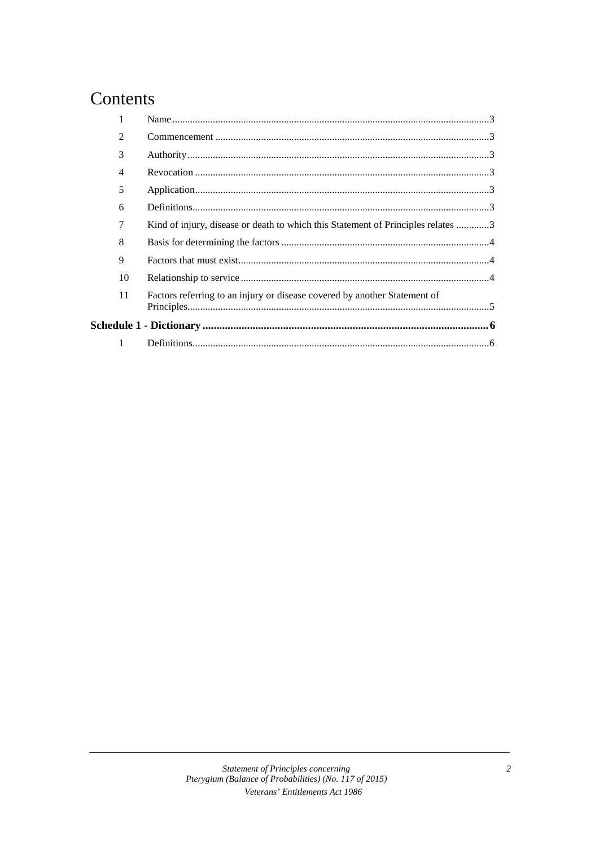### Contents

| $\mathfrak{D}$ |                                                                                  |  |
|----------------|----------------------------------------------------------------------------------|--|
| 3              |                                                                                  |  |
| 4              |                                                                                  |  |
| 5              |                                                                                  |  |
| 6              |                                                                                  |  |
| 7              | Kind of injury, disease or death to which this Statement of Principles relates 3 |  |
| 8              |                                                                                  |  |
| 9              |                                                                                  |  |
| 10             |                                                                                  |  |
| 11             | Factors referring to an injury or disease covered by another Statement of        |  |
|                |                                                                                  |  |
| 1              |                                                                                  |  |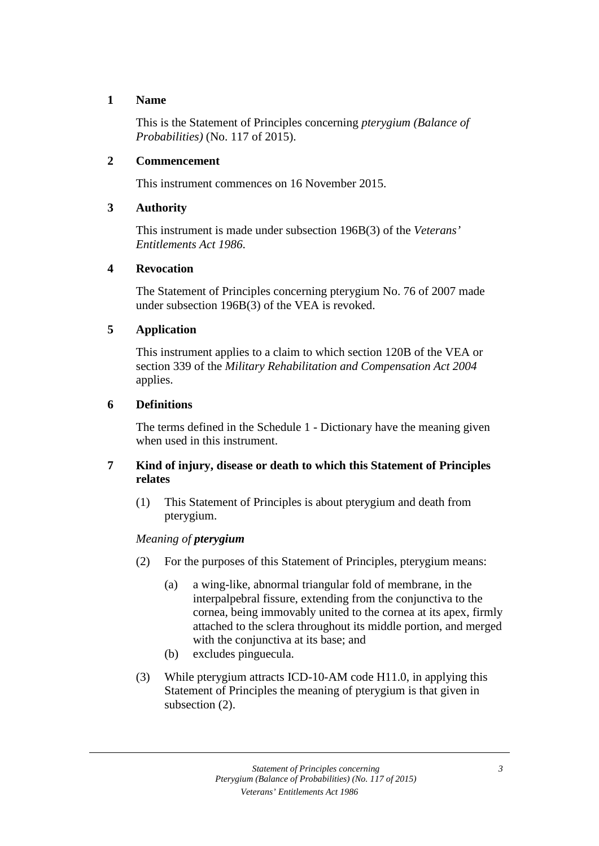#### **1 Name**

This is the Statement of Principles concerning *pterygium (Balance of Probabilities)* (No. 117 of 2015).

#### **2 Commencement**

This instrument commences on 16 November 2015.

#### **3 Authority**

This instrument is made under subsection 196B(3) of the *Veterans' Entitlements Act 1986*.

#### **4 Revocation**

The Statement of Principles concerning pterygium No. 76 of 2007 made under subsection 196B(3) of the VEA is revoked.

#### **5 Application**

This instrument applies to a claim to which section 120B of the VEA or section 339 of the *Military Rehabilitation and Compensation Act 2004* applies.

#### **6 Definitions**

The terms defined in the Schedule 1 - Dictionary have the meaning given when used in this instrument.

#### **7 Kind of injury, disease or death to which this Statement of Principles relates**

(1) This Statement of Principles is about pterygium and death from pterygium.

#### *Meaning of pterygium*

- (2) For the purposes of this Statement of Principles, pterygium means:
	- (a) a wing-like, abnormal triangular fold of membrane, in the interpalpebral fissure, extending from the conjunctiva to the cornea, being immovably united to the cornea at its apex, firmly attached to the sclera throughout its middle portion, and merged with the conjunctiva at its base; and
	- (b) excludes pinguecula.
- (3) While pterygium attracts ICD-10-AM code H11.0, in applying this Statement of Principles the meaning of pterygium is that given in subsection (2).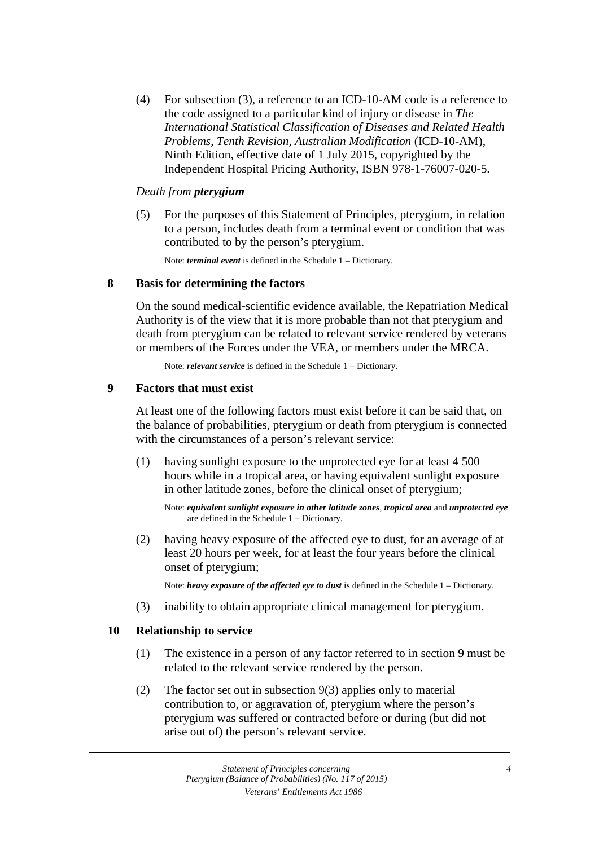(4) For subsection (3), a reference to an ICD-10-AM code is a reference to the code assigned to a particular kind of injury or disease in *The International Statistical Classification of Diseases and Related Health Problems*, *Tenth Revision, Australian Modification* (ICD-10-AM), Ninth Edition, effective date of 1 July 2015, copyrighted by the Independent Hospital Pricing Authority, ISBN 978-1-76007-020-5.

#### *Death from pterygium*

(5) For the purposes of this Statement of Principles, pterygium, in relation to a person, includes death from a terminal event or condition that was contributed to by the person's pterygium.

Note: *terminal event* is defined in the Schedule 1 – Dictionary.

#### **8 Basis for determining the factors**

On the sound medical-scientific evidence available, the Repatriation Medical Authority is of the view that it is more probable than not that pterygium and death from pterygium can be related to relevant service rendered by veterans or members of the Forces under the VEA, or members under the MRCA.

Note: *relevant service* is defined in the Schedule 1 – Dictionary.

#### **9 Factors that must exist**

At least one of the following factors must exist before it can be said that, on the balance of probabilities, pterygium or death from pterygium is connected with the circumstances of a person's relevant service:

(1) having sunlight exposure to the unprotected eye for at least 4 500 hours while in a tropical area, or having equivalent sunlight exposure in other latitude zones, before the clinical onset of pterygium;

Note: *equivalent sunlight exposure in other latitude zones*, *tropical area* and *unprotected eye* are defined in the Schedule 1 – Dictionary.

(2) having heavy exposure of the affected eye to dust, for an average of at least 20 hours per week, for at least the four years before the clinical onset of pterygium;

Note: *heavy exposure of the affected eye to dust* is defined in the Schedule 1 – Dictionary.

(3) inability to obtain appropriate clinical management for pterygium.

#### **10 Relationship to service**

- (1) The existence in a person of any factor referred to in section 9 must be related to the relevant service rendered by the person.
- (2) The factor set out in subsection 9(3) applies only to material contribution to, or aggravation of, pterygium where the person's pterygium was suffered or contracted before or during (but did not arise out of) the person's relevant service.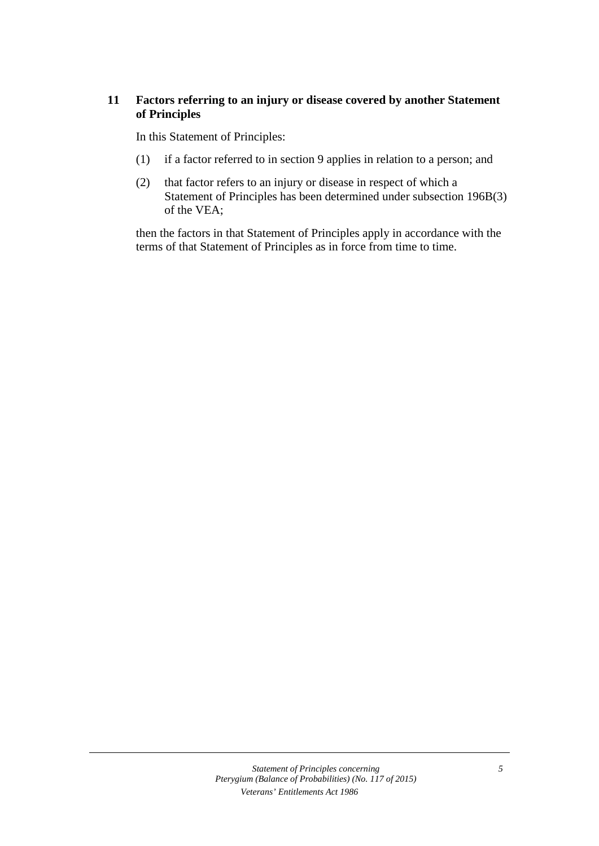#### **11 Factors referring to an injury or disease covered by another Statement of Principles**

In this Statement of Principles:

- (1) if a factor referred to in section 9 applies in relation to a person; and
- (2) that factor refers to an injury or disease in respect of which a Statement of Principles has been determined under subsection 196B(3) of the VEA;

then the factors in that Statement of Principles apply in accordance with the terms of that Statement of Principles as in force from time to time.